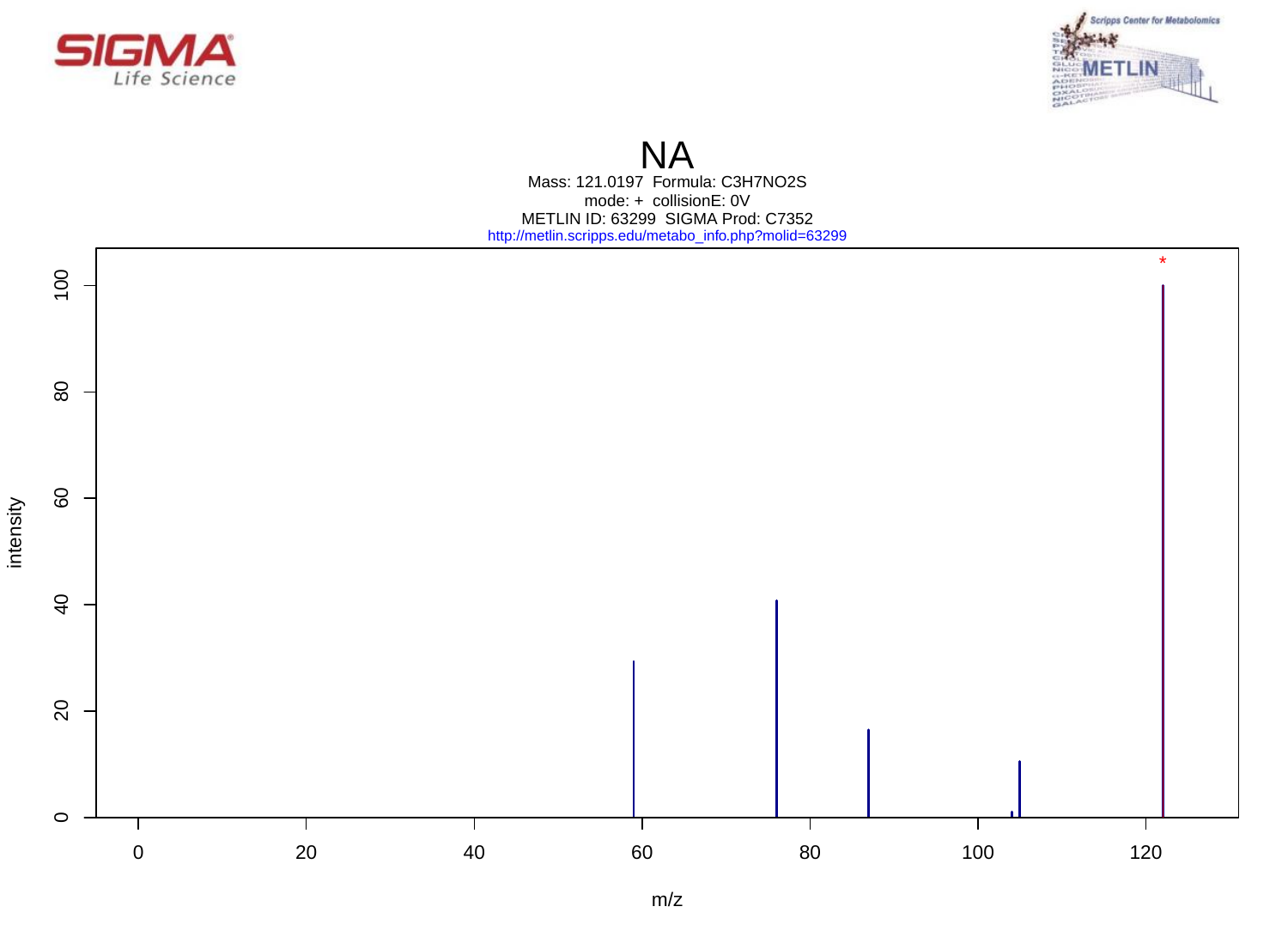



# **NA**

Mass: 121.0197 Formula: C3H7NO2S mode: + collisionE: 0V METLIN ID: 63299 SIGMA Prod: C7352 http://metlin.scripps.edu/metabo\_info.php?molid=63299

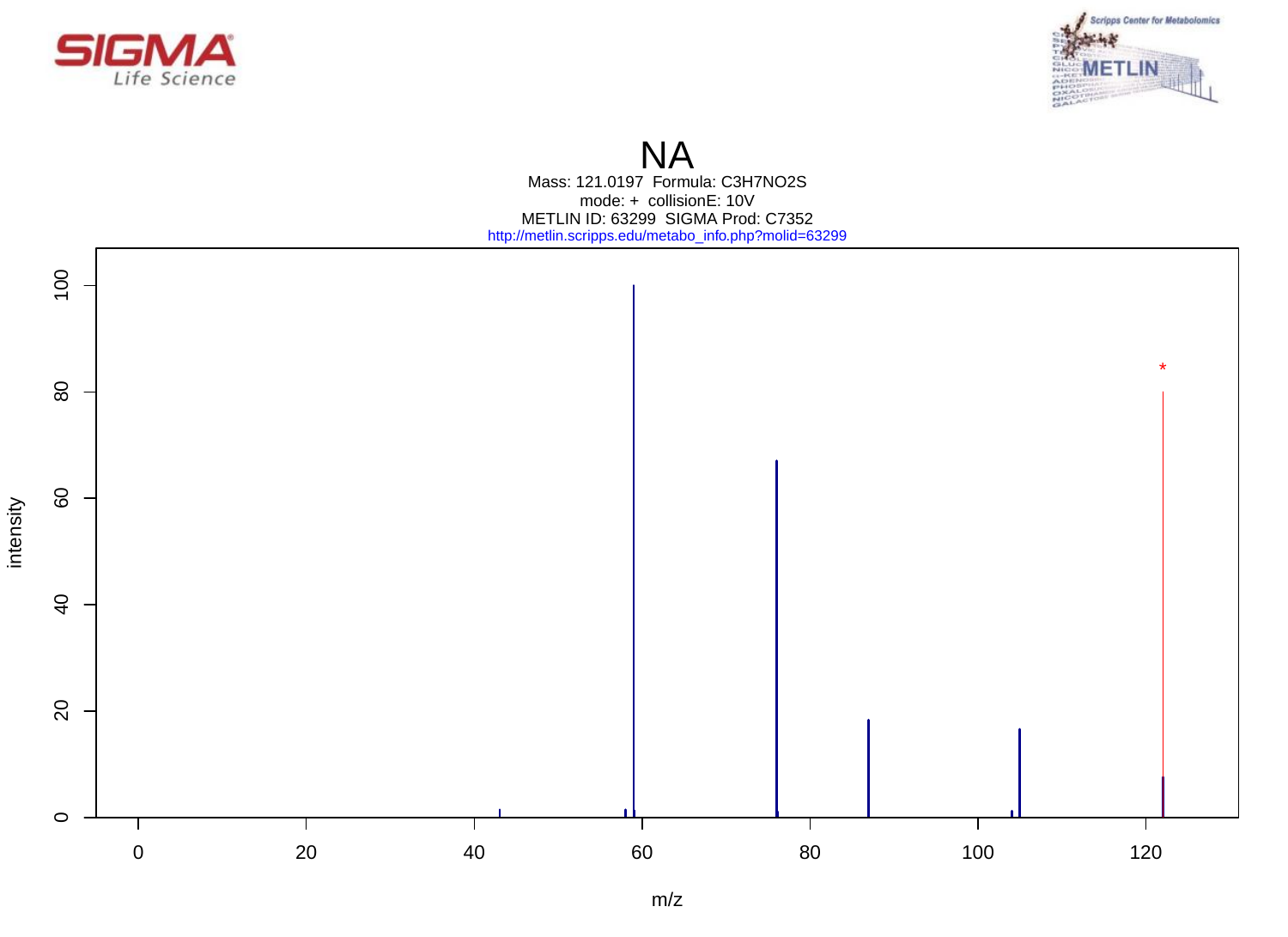



# **NA**

Mass: 121.0197 Formula: C3H7NO2S mode: + collisionE: 10V METLIN ID: 63299 SIGMA Prod: C7352 http://metlin.scripps.edu/metabo\_info.php?molid=63299

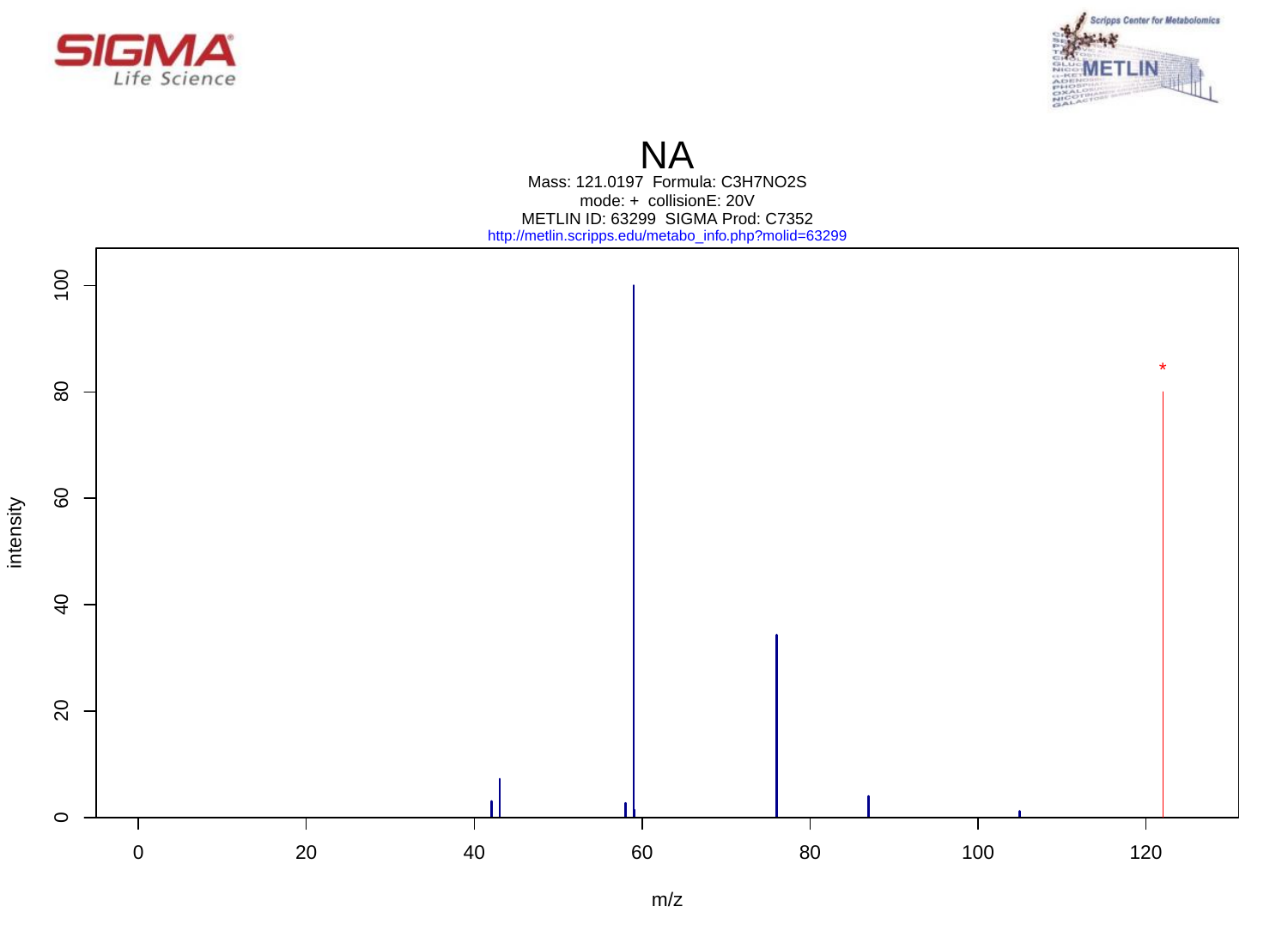



# **NA**

Mass: 121.0197 Formula: C3H7NO2S mode: + collisionE: 20V METLIN ID: 63299 SIGMA Prod: C7352 http://metlin.scripps.edu/metabo\_info.php?molid=63299

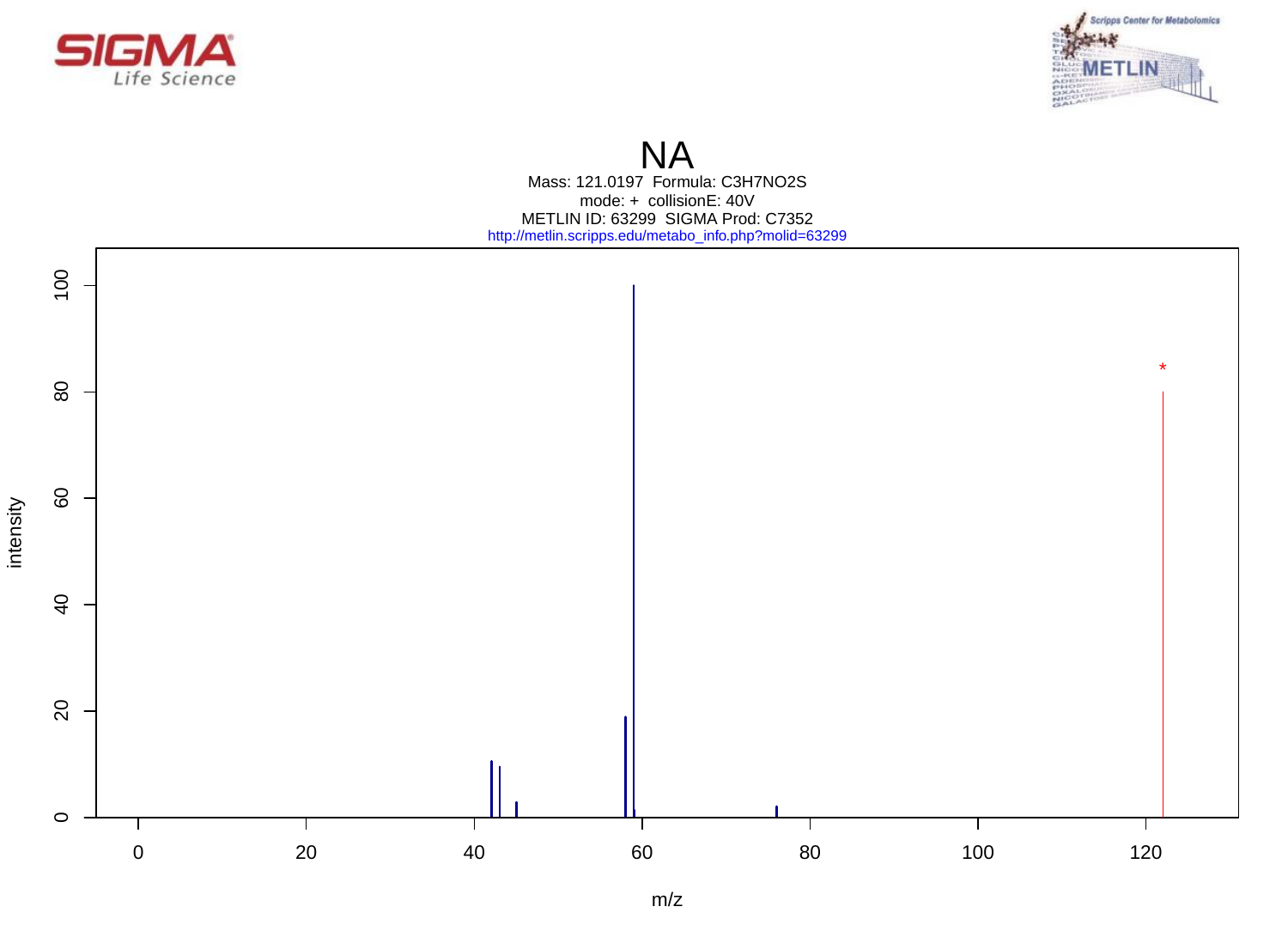



# **NA**

Mass: 121.0197 Formula: C3H7NO2S mode: + collisionE: 40V METLIN ID: 63299 SIGMA Prod: C7352 http://metlin.scripps.edu/metabo\_info.php?molid=63299

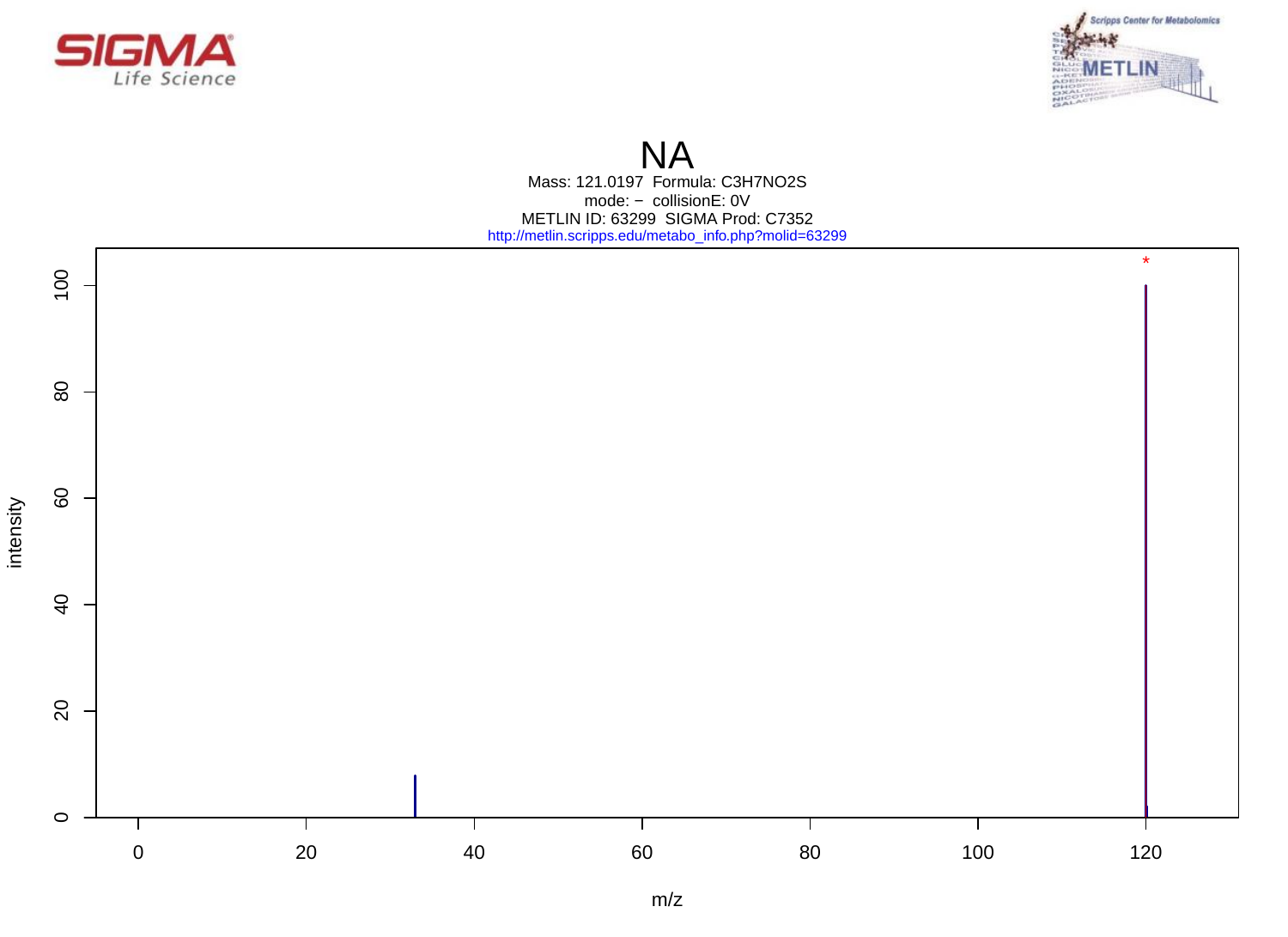



# **NA**

Mass: 121.0197 Formula: C3H7NO2S mode: − collisionE: 0V METLIN ID: 63299 SIGMA Prod: C7352 http://metlin.scripps.edu/metabo\_info.php?molid=63299

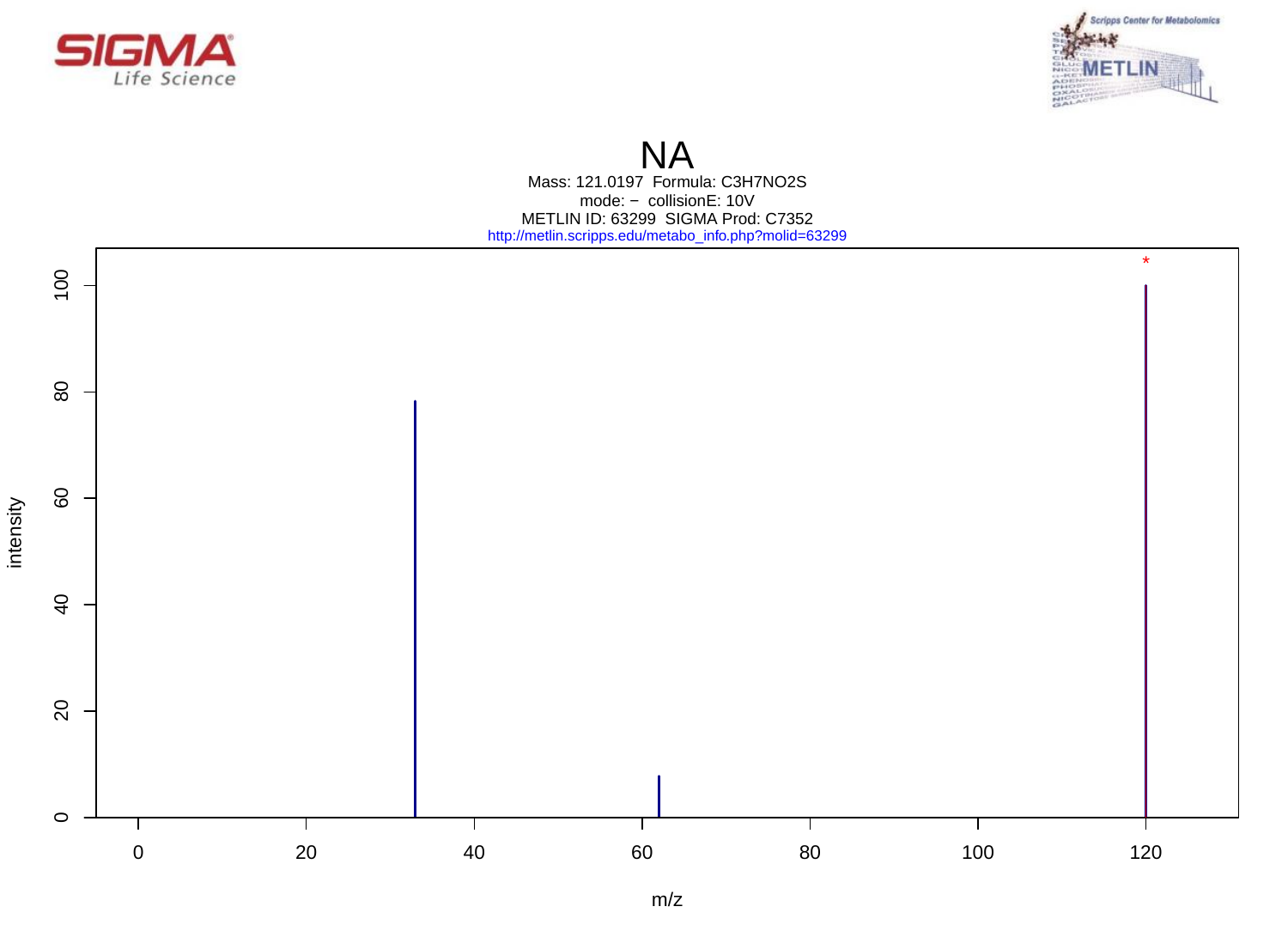



#### **NA**

Mass: 121.0197 Formula: C3H7NO2S mode: − collisionE: 10V METLIN ID: 63299 SIGMA Prod: C7352 http://metlin.scripps.edu/metabo\_info.php?molid=63299

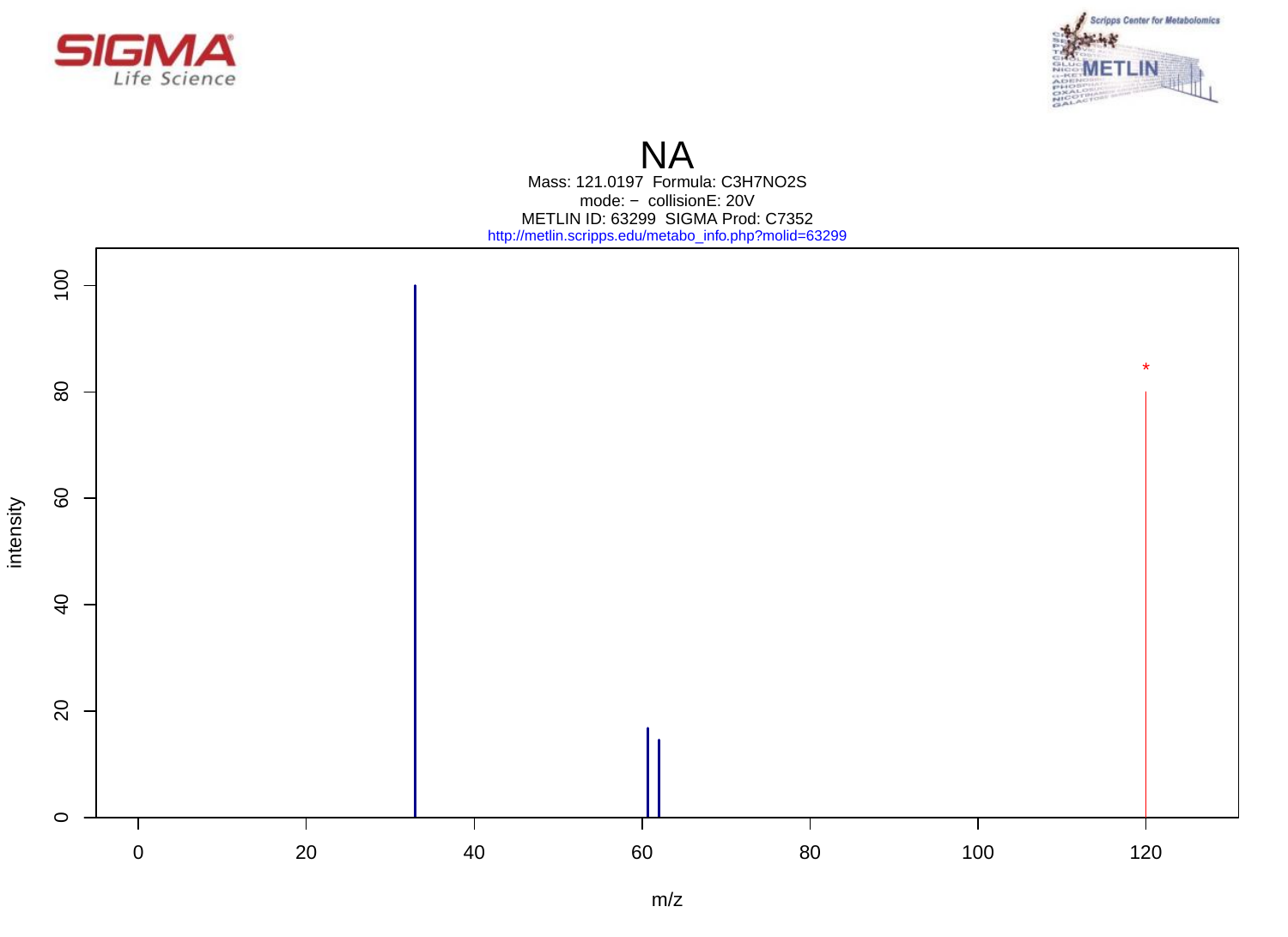



# **NA**

Mass: 121.0197 Formula: C3H7NO2S mode: − collisionE: 20V METLIN ID: 63299 SIGMA Prod: C7352 http://metlin.scripps.edu/metabo\_info.php?molid=63299